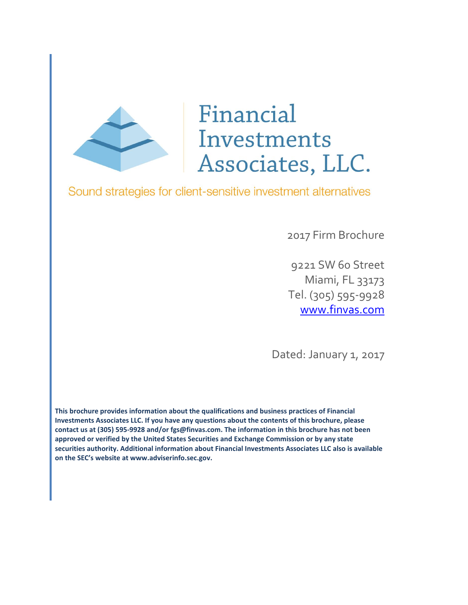

# Financial Investments Associates, LLC.

Sound strategies for client-sensitive investment alternatives

2017 Firm Brochure

9221 SW 60 Street Miami, FL 33173 Tel. (305) 595-9928 [www.finvas.com](http://www.finvas.com/)

Dated: January 1, 2017

**This brochure provides information about the qualifications and business practices of Financial Investments Associates LLC. If you have any questions about the contents of this brochure, please contact us at (305) 595-9928 and/or fgs@finvas.com. The information in this brochure has not been approved or verified by the United States Securities and Exchange Commission or by any state securities authority. Additional information about Financial Investments Associates LLC also is available on the SEC's website at www.adviserinfo.sec.gov.**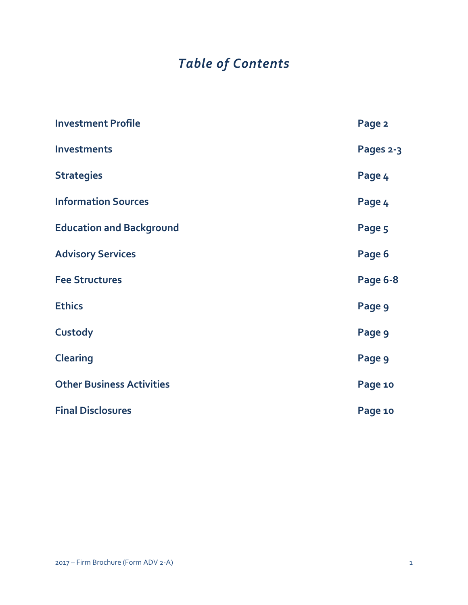## *Table of Contents*

| <b>Investment Profile</b>        | Page 2    |
|----------------------------------|-----------|
| <b>Investments</b>               | Pages 2-3 |
| <b>Strategies</b>                | Page 4    |
| <b>Information Sources</b>       | Page 4    |
| <b>Education and Background</b>  | Page 5    |
| <b>Advisory Services</b>         | Page 6    |
| <b>Fee Structures</b>            | Page 6-8  |
| <b>Ethics</b>                    | Page 9    |
| Custody                          | Page 9    |
| <b>Clearing</b>                  | Page 9    |
| <b>Other Business Activities</b> | Page 10   |
| <b>Final Disclosures</b>         | Page 10   |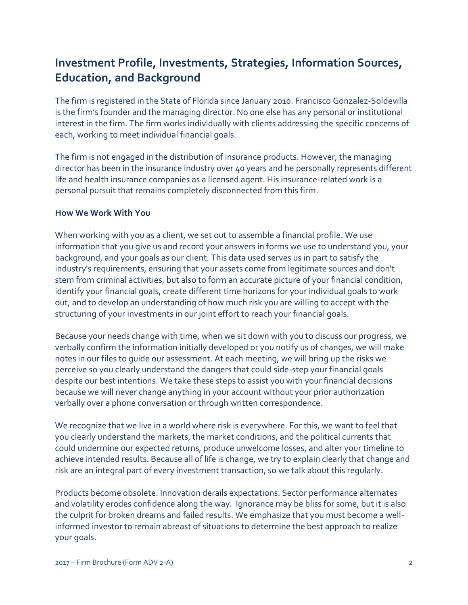## **Investment Profile, Investments, Strategies, Information Sources, Education, and Background**

The firm is registered in the State of Florida since January 2010. Francisco Gonzalez-Soldevilla is the firm's founder and the managing director. No one else has any personal or institutional interest in the firm. The firm works individually with clients addressing the specific concerns of each, working to meet individual financial goals.

The firm is not engaged in the distribution of insurance products. However, the managing director has been in the insurance industry over 40 years and he personally represents different life and health insurance companies as a licensed agent. His insurance-related work is a personal pursuit that remains completely disconnected from this firm.

#### **How We Work With You**

When working with you as a client, we set out to assemble a financial profile. We use information that you give us and record your answers in forms we use to understand you, your background, and your goals as our client. This data used serves us in part to satisfy the industry's requirements, ensuring that your assets come from legitimate sources and don't stem from criminal activities, but also to form an accurate picture of your financial condition, identify your financial goals, create different time horizons for your individual goals to work out, and to develop an understanding of how much risk you are willing to accept with the structuring of your investments in our joint effort to reach your financial goals.

Because your needs change with time, when we sit down with you to discuss our progress, we verbally confirm the information initially developed or you notify us of changes, we will make notes in our files to guide our assessment. At each meeting, we will bring up the risks we perceive so you clearly understand the dangers that could side-step your financial goals despite our best intentions. We take these steps to assist you with your financial decisions because we will never change anything in your account without your prior authorization verbally over a phone conversation or through written correspondence.

We recognize that we live in a world where risk is everywhere. For this, we want to feel that you clearly understand the markets, the market conditions, and the political currents that could undermine our expected returns, produce unwelcome losses, and alter your timeline to achieve intended results. Because all of life is change, we try to explain clearly that change and risk are an integral part of every investment transaction, so we talk about this regularly.

Products become obsolete. Innovation derails expectations. Sector performance alternates and volatility erodes confidence along the way. Ignorance may be bliss for some, but it is also the culprit for broken dreams and failed results. We emphasize that you must become a wellinformed investor to remain abreast of situations to determine the best approach to realize your goals.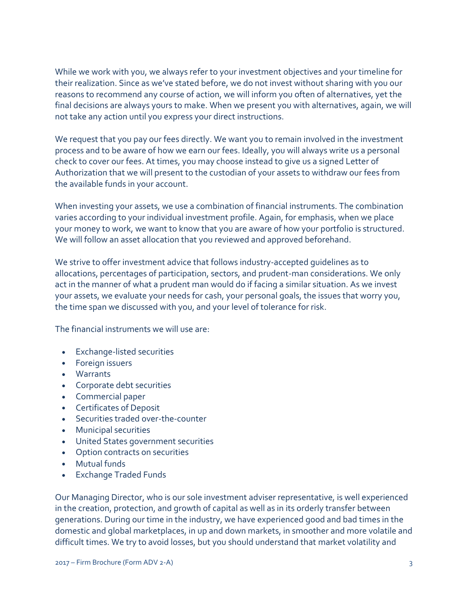While we work with you, we always refer to your investment objectives and your timeline for their realization. Since as we've stated before, we do not invest without sharing with you our reasons to recommend any course of action, we will inform you often of alternatives, yet the final decisions are always yours to make. When we present you with alternatives, again, we will not take any action until you express your direct instructions.

We request that you pay our fees directly. We want you to remain involved in the investment process and to be aware of how we earn our fees. Ideally, you will always write us a personal check to cover our fees. At times, you may choose instead to give us a signed Letter of Authorization that we will present to the custodian of your assets to withdraw our fees from the available funds in your account.

When investing your assets, we use a combination of financial instruments. The combination varies according to your individual investment profile. Again, for emphasis, when we place your money to work, we want to know that you are aware of how your portfolio is structured. We will follow an asset allocation that you reviewed and approved beforehand.

We strive to offer investment advice that follows industry-accepted guidelines as to allocations, percentages of participation, sectors, and prudent-man considerations. We only act in the manner of what a prudent man would do if facing a similar situation. As we invest your assets, we evaluate your needs for cash, your personal goals, the issues that worry you, the time span we discussed with you, and your level of tolerance for risk.

The financial instruments we will use are:

- Exchange-listed securities
- Foreign issuers
- Warrants
- Corporate debt securities
- Commercial paper
- Certificates of Deposit
- Securities traded over-the-counter
- Municipal securities
- United States government securities
- Option contracts on securities
- Mutual funds
- Exchange Traded Funds

Our Managing Director, who is our sole investment adviser representative, is well experienced in the creation, protection, and growth of capital as well as in its orderly transfer between generations. During our time in the industry, we have experienced good and bad times in the domestic and global marketplaces, in up and down markets, in smoother and more volatile and difficult times. We try to avoid losses, but you should understand that market volatility and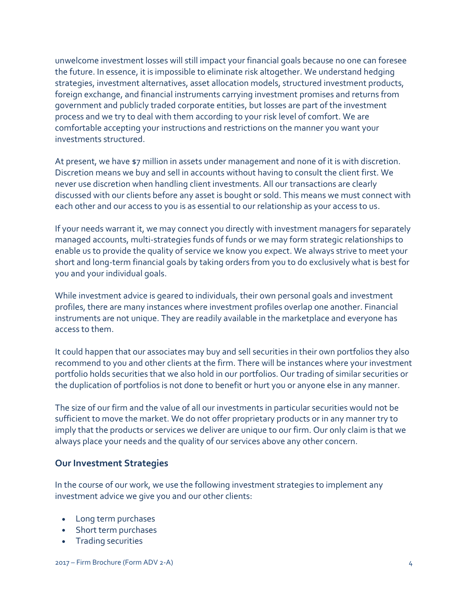unwelcome investment losses will still impact your financial goals because no one can foresee the future. In essence, it is impossible to eliminate risk altogether. We understand hedging strategies, investment alternatives, asset allocation models, structured investment products, foreign exchange, and financial instruments carrying investment promises and returns from government and publicly traded corporate entities, but losses are part of the investment process and we try to deal with them according to your risk level of comfort. We are comfortable accepting your instructions and restrictions on the manner you want your investments structured.

At present, we have \$7 million in assets under management and none of it is with discretion. Discretion means we buy and sell in accounts without having to consult the client first. We never use discretion when handling client investments. All our transactions are clearly discussed with our clients before any asset is bought or sold. This means we must connect with each other and our access to you is as essential to our relationship as your access to us.

If your needs warrant it, we may connect you directly with investment managers for separately managed accounts, multi-strategies funds of funds or we may form strategic relationships to enable us to provide the quality of service we know you expect. We always strive to meet your short and long-term financial goals by taking orders from you to do exclusively what is best for you and your individual goals.

While investment advice is geared to individuals, their own personal goals and investment profiles, there are many instances where investment profiles overlap one another. Financial instruments are not unique. They are readily available in the marketplace and everyone has access to them.

It could happen that our associates may buy and sell securities in their own portfolios they also recommend to you and other clients at the firm. There will be instances where your investment portfolio holds securities that we also hold in our portfolios. Our trading of similar securities or the duplication of portfolios is not done to benefit or hurt you or anyone else in any manner.

The size of our firm and the value of all our investments in particular securities would not be sufficient to move the market. We do not offer proprietary products or in any manner try to imply that the products or services we deliver are unique to our firm. Our only claim is that we always place your needs and the quality of our services above any other concern.

#### **Our Investment Strategies**

In the course of our work, we use the following investment strategies to implement any investment advice we give you and our other clients:

- Long term purchases
- Short term purchases
- Trading securities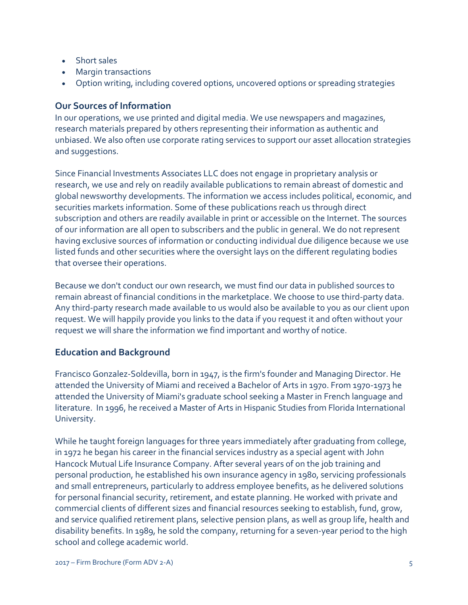- Short sales
- Margin transactions
- Option writing, including covered options, uncovered options or spreading strategies

## **Our Sources of Information**

In our operations, we use printed and digital media. We use newspapers and magazines, research materials prepared by others representing their information as authentic and unbiased. We also often use corporate rating services to support our asset allocation strategies and suggestions.

Since Financial Investments Associates LLC does not engage in proprietary analysis or research, we use and rely on readily available publications to remain abreast of domestic and global newsworthy developments. The information we access includes political, economic, and securities markets information. Some of these publications reach us through direct subscription and others are readily available in print or accessible on the Internet. The sources of our information are all open to subscribers and the public in general. We do not represent having exclusive sources of information or conducting individual due diligence because we use listed funds and other securities where the oversight lays on the different regulating bodies that oversee their operations.

Because we don't conduct our own research, we must find our data in published sources to remain abreast of financial conditions in the marketplace. We choose to use third-party data. Any third-party research made available to us would also be available to you as our client upon request. We will happily provide you links to the data if you request it and often without your request we will share the information we find important and worthy of notice.

## **Education and Background**

Francisco Gonzalez-Soldevilla, born in 1947, is the firm's founder and Managing Director. He attended the University of Miami and received a Bachelor of Arts in 1970. From 1970-1973 he attended the University of Miami's graduate school seeking a Master in French language and literature. In 1996, he received a Master of Arts in Hispanic Studies from Florida International University.

While he taught foreign languages for three years immediately after graduating from college, in 1972 he began his career in the financial services industry as a special agent with John Hancock Mutual Life Insurance Company. After several years of on the job training and personal production, he established his own insurance agency in 1980, servicing professionals and small entrepreneurs, particularly to address employee benefits, as he delivered solutions for personal financial security, retirement, and estate planning. He worked with private and commercial clients of different sizes and financial resources seeking to establish, fund, grow, and service qualified retirement plans, selective pension plans, as well as group life, health and disability benefits. In 1989, he sold the company, returning for a seven-year period to the high school and college academic world.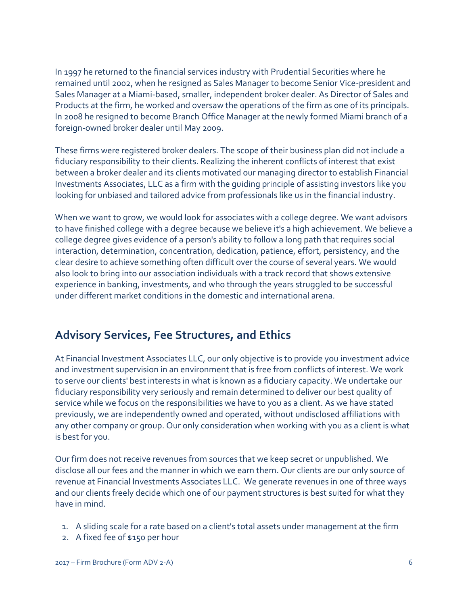In 1997 he returned to the financial services industry with Prudential Securities where he remained until 2002, when he resigned as Sales Manager to become Senior Vice-president and Sales Manager at a Miami-based, smaller, independent broker dealer. As Director of Sales and Products at the firm, he worked and oversaw the operations of the firm as one of its principals. In 2008 he resigned to become Branch Office Manager at the newly formed Miami branch of a foreign-owned broker dealer until May 2009.

These firms were registered broker dealers. The scope of their business plan did not include a fiduciary responsibility to their clients. Realizing the inherent conflicts of interest that exist between a broker dealer and its clients motivated our managing director to establish Financial Investments Associates, LLC as a firm with the guiding principle of assisting investors like you looking for unbiased and tailored advice from professionals like us in the financial industry.

When we want to grow, we would look for associates with a college degree. We want advisors to have finished college with a degree because we believe it's a high achievement. We believe a college degree gives evidence of a person's ability to follow a long path that requires social interaction, determination, concentration, dedication, patience, effort, persistency, and the clear desire to achieve something often difficult over the course of several years. We would also look to bring into our association individuals with a track record that shows extensive experience in banking, investments, and who through the years struggled to be successful under different market conditions in the domestic and international arena.

## **Advisory Services, Fee Structures, and Ethics**

At Financial Investment Associates LLC, our only objective is to provide you investment advice and investment supervision in an environment that is free from conflicts of interest. We work to serve our clients' best interests in what is known as a fiduciary capacity. We undertake our fiduciary responsibility very seriously and remain determined to deliver our best quality of service while we focus on the responsibilities we have to you as a client. As we have stated previously, we are independently owned and operated, without undisclosed affiliations with any other company or group. Our only consideration when working with you as a client is what is best for you.

Our firm does not receive revenues from sources that we keep secret or unpublished. We disclose all our fees and the manner in which we earn them. Our clients are our only source of revenue at Financial Investments Associates LLC. We generate revenues in one of three ways and our clients freely decide which one of our payment structures is best suited for what they have in mind.

- 1. A sliding scale for a rate based on a client's total assets under management at the firm
- 2. A fixed fee of \$150 per hour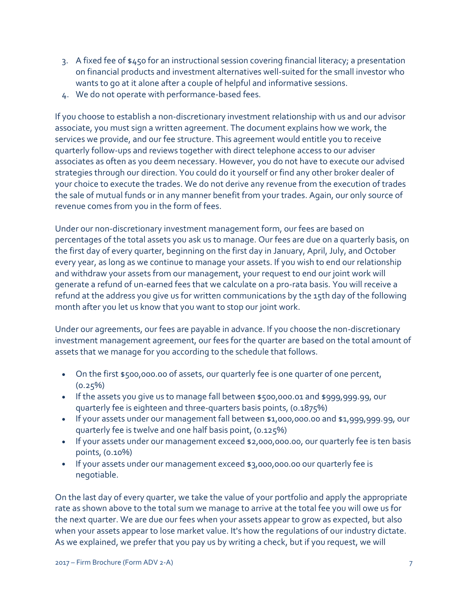- 3. A fixed fee of \$450 for an instructional session covering financial literacy; a presentation on financial products and investment alternatives well-suited for the small investor who wants to go at it alone after a couple of helpful and informative sessions.
- 4. We do not operate with performance-based fees.

If you choose to establish a non-discretionary investment relationship with us and our advisor associate, you must sign a written agreement. The document explains how we work, the services we provide, and our fee structure. This agreement would entitle you to receive quarterly follow-ups and reviews together with direct telephone access to our adviser associates as often as you deem necessary. However, you do not have to execute our advised strategies through our direction. You could do it yourself or find any other broker dealer of your choice to execute the trades. We do not derive any revenue from the execution of trades the sale of mutual funds or in any manner benefit from your trades. Again, our only source of revenue comes from you in the form of fees.

Under our non-discretionary investment management form, our fees are based on percentages of the total assets you ask us to manage. Our fees are due on a quarterly basis, on the first day of every quarter, beginning on the first day in January, April, July, and October every year, as long as we continue to manage your assets. If you wish to end our relationship and withdraw your assets from our management, your request to end our joint work will generate a refund of un-earned fees that we calculate on a pro-rata basis. You will receive a refund at the address you give us for written communications by the 15th day of the following month after you let us know that you want to stop our joint work.

Under our agreements, our fees are payable in advance. If you choose the non-discretionary investment management agreement, our fees for the quarter are based on the total amount of assets that we manage for you according to the schedule that follows.

- On the first \$500,000.00 of assets, our quarterly fee is one quarter of one percent,  $(0.25\%)$
- If the assets you give us to manage fall between \$500,000.01 and \$999,999.99, our quarterly fee is eighteen and three-quarters basis points, (0.1875%)
- If your assets under our management fall between \$1,000,000.00 and \$1,999,999.99, our quarterly fee is twelve and one half basis point, (0.125%)
- If your assets under our management exceed \$2,000,000.00, our quarterly fee is ten basis points, (0.10%)
- If your assets under our management exceed \$3,000,000.00 our quarterly fee is negotiable.

On the last day of every quarter, we take the value of your portfolio and apply the appropriate rate as shown above to the total sum we manage to arrive at the total fee you will owe us for the next quarter. We are due our fees when your assets appear to grow as expected, but also when your assets appear to lose market value. It's how the regulations of our industry dictate. As we explained, we prefer that you pay us by writing a check, but if you request, we will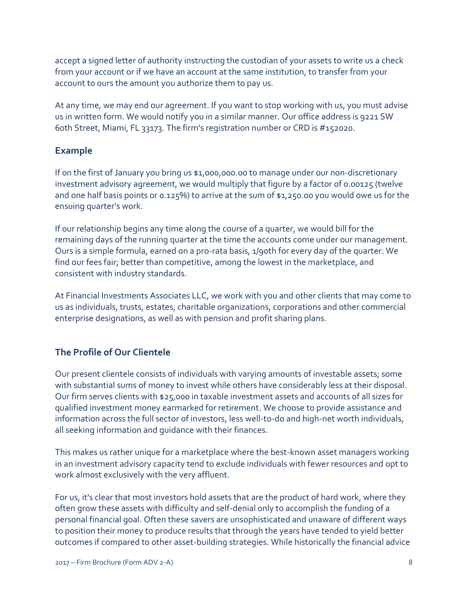accept a signed letter of authority instructing the custodian of your assets to write us a check from your account or if we have an account at the same institution, to transfer from your account to ours the amount you authorize them to pay us.

At any time, we may end our agreement. If you want to stop working with us, you must advise us in written form. We would notify you in a similar manner. Our office address is 9221 SW 60th Street, Miami, FL 33173. The firm's registration number or CRD is #152020.

## **Example**

If on the first of January you bring us \$1,000,000.00 to manage under our non-discretionary investment advisory agreement, we would multiply that figure by a factor of 0.00125 (twelve and one half basis points or 0.125%) to arrive at the sum of \$1,250.00 you would owe us for the ensuing quarter's work.

If our relationship begins any time along the course of a quarter, we would bill for the remaining days of the running quarter at the time the accounts come under our management. Ours is a simple formula, earned on a pro-rata basis, 1/90th for every day of the quarter. We find our fees fair; better than competitive, among the lowest in the marketplace, and consistent with industry standards.

At Financial Investments Associates LLC, we work with you and other clients that may come to us as individuals, trusts, estates, charitable organizations, corporations and other commercial enterprise designations, as well as with pension and profit sharing plans.

## **The Profile of Our Clientele**

Our present clientele consists of individuals with varying amounts of investable assets; some with substantial sums of money to invest while others have considerably less at their disposal. Our firm serves clients with \$25,000 in taxable investment assets and accounts of all sizes for qualified investment money earmarked for retirement. We choose to provide assistance and information across the full sector of investors, less well-to-do and high-net worth individuals, all seeking information and guidance with their finances.

This makes us rather unique for a marketplace where the best-known asset managers working in an investment advisory capacity tend to exclude individuals with fewer resources and opt to work almost exclusively with the very affluent.

For us, it's clear that most investors hold assets that are the product of hard work, where they often grow these assets with difficulty and self-denial only to accomplish the funding of a personal financial goal. Often these savers are unsophisticated and unaware of different ways to position their money to produce results that through the years have tended to yield better outcomes if compared to other asset-building strategies. While historically the financial advice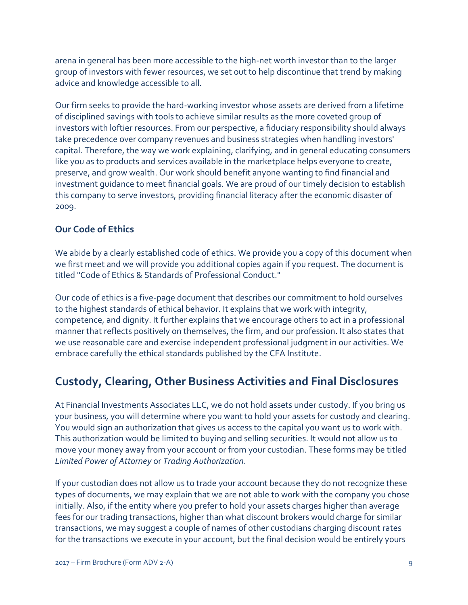arena in general has been more accessible to the high-net worth investor than to the larger group of investors with fewer resources, we set out to help discontinue that trend by making advice and knowledge accessible to all.

Our firm seeks to provide the hard-working investor whose assets are derived from a lifetime of disciplined savings with tools to achieve similar results as the more coveted group of investors with loftier resources. From our perspective, a fiduciary responsibility should always take precedence over company revenues and business strategies when handling investors' capital. Therefore, the way we work explaining, clarifying, and in general educating consumers like you as to products and services available in the marketplace helps everyone to create, preserve, and grow wealth. Our work should benefit anyone wanting to find financial and investment guidance to meet financial goals. We are proud of our timely decision to establish this company to serve investors, providing financial literacy after the economic disaster of 2009.

## **Our Code of Ethics**

We abide by a clearly established code of ethics. We provide you a copy of this document when we first meet and we will provide you additional copies again if you request. The document is titled "Code of Ethics & Standards of Professional Conduct."

Our code of ethics is a five-page document that describes our commitment to hold ourselves to the highest standards of ethical behavior. It explains that we work with integrity, competence, and dignity. It further explains that we encourage others to act in a professional manner that reflects positively on themselves, the firm, and our profession. It also states that we use reasonable care and exercise independent professional judgment in our activities. We embrace carefully the ethical standards published by the CFA Institute.

## **Custody, Clearing, Other Business Activities and Final Disclosures**

At Financial Investments Associates LLC, we do not hold assets under custody. If you bring us your business, you will determine where you want to hold your assets for custody and clearing. You would sign an authorization that gives us access to the capital you want us to work with. This authorization would be limited to buying and selling securities. It would not allow us to move your money away from your account or from your custodian. These forms may be titled *Limited Power of Attorney* or *Trading Authorization*.

If your custodian does not allow us to trade your account because they do not recognize these types of documents, we may explain that we are not able to work with the company you chose initially. Also, if the entity where you prefer to hold your assets charges higher than average fees for our trading transactions, higher than what discount brokers would charge for similar transactions, we may suggest a couple of names of other custodians charging discount rates for the transactions we execute in your account, but the final decision would be entirely yours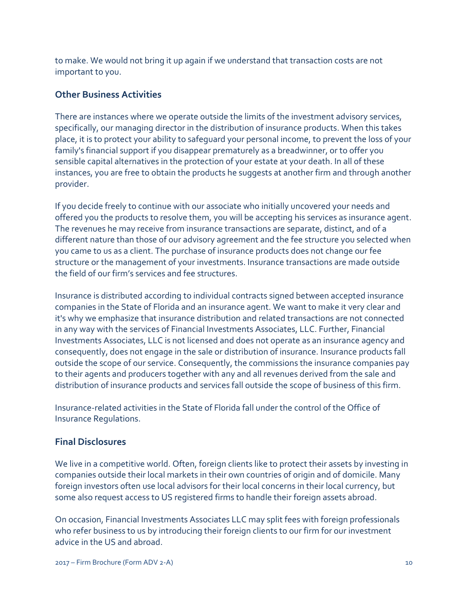to make. We would not bring it up again if we understand that transaction costs are not important to you.

### **Other Business Activities**

There are instances where we operate outside the limits of the investment advisory services, specifically, our managing director in the distribution of insurance products. When this takes place, it is to protect your ability to safeguard your personal income, to prevent the loss of your family's financial support if you disappear prematurely as a breadwinner, or to offer you sensible capital alternatives in the protection of your estate at your death. In all of these instances, you are free to obtain the products he suggests at another firm and through another provider.

If you decide freely to continue with our associate who initially uncovered your needs and offered you the products to resolve them, you will be accepting his services as insurance agent. The revenues he may receive from insurance transactions are separate, distinct, and of a different nature than those of our advisory agreement and the fee structure you selected when you came to us as a client. The purchase of insurance products does not change our fee structure or the management of your investments. Insurance transactions are made outside the field of our firm's services and fee structures.

Insurance is distributed according to individual contracts signed between accepted insurance companies in the State of Florida and an insurance agent. We want to make it very clear and it's why we emphasize that insurance distribution and related transactions are not connected in any way with the services of Financial Investments Associates, LLC. Further, Financial Investments Associates, LLC is not licensed and does not operate as an insurance agency and consequently, does not engage in the sale or distribution of insurance. Insurance products fall outside the scope of our service. Consequently, the commissions the insurance companies pay to their agents and producers together with any and all revenues derived from the sale and distribution of insurance products and services fall outside the scope of business of this firm.

Insurance-related activities in the State of Florida fall under the control of the Office of Insurance Regulations.

#### **Final Disclosures**

We live in a competitive world. Often, foreign clients like to protect their assets by investing in companies outside their local markets in their own countries of origin and of domicile. Many foreign investors often use local advisors for their local concerns in their local currency, but some also request access to US registered firms to handle their foreign assets abroad.

On occasion, Financial Investments Associates LLC may split fees with foreign professionals who refer business to us by introducing their foreign clients to our firm for our investment advice in the US and abroad.